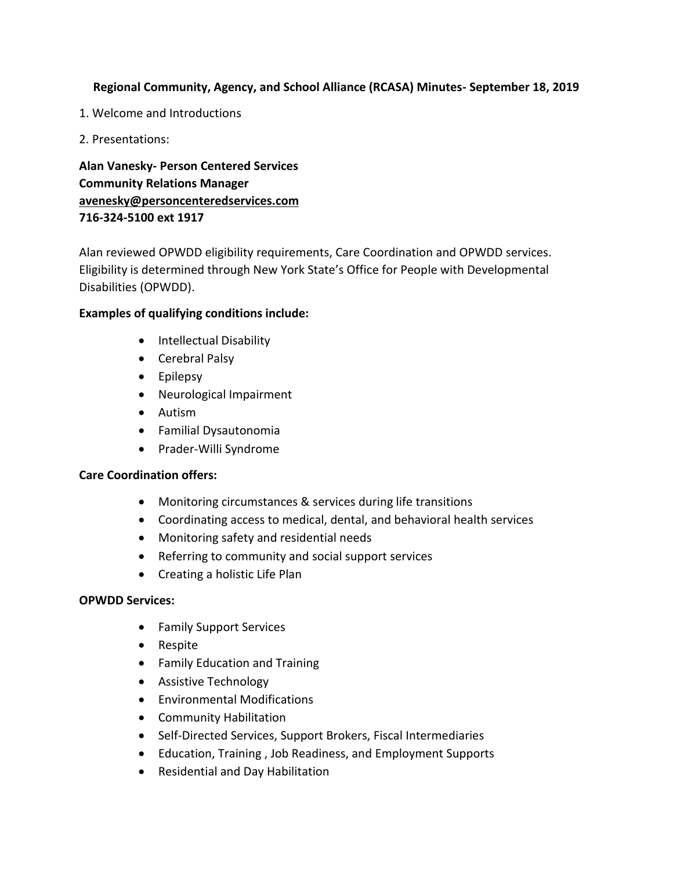## **Regional Community, Agency, and School Alliance (RCASA) Minutes- September 18, 2019**

- 1. Welcome and Introductions
- 2. Presentations:

**Alan Vanesky- Person Centered Services Community Relations Manager [avenesky@personcenteredservices.com](mailto:avenesky@personcenteredservices.com) 716-324-5100 ext 1917**

Alan reviewed OPWDD eligibility requirements, Care Coordination and OPWDD services. Eligibility is determined through New York State's Office for People with Developmental Disabilities (OPWDD).

## **Examples of qualifying conditions include:**

- Intellectual Disability
- Cerebral Palsy
- Epilepsy
- Neurological Impairment
- Autism
- Familial Dysautonomia
- Prader-Willi Syndrome

### **Care Coordination offers:**

- Monitoring circumstances & services during life transitions
- Coordinating access to medical, dental, and behavioral health services
- Monitoring safety and residential needs
- Referring to community and social support services
- Creating a holistic Life Plan

### **OPWDD Services:**

- Family Support Services
- Respite
- Family Education and Training
- Assistive Technology
- Environmental Modifications
- Community Habilitation
- Self-Directed Services, Support Brokers, Fiscal Intermediaries
- Education, Training , Job Readiness, and Employment Supports
- Residential and Day Habilitation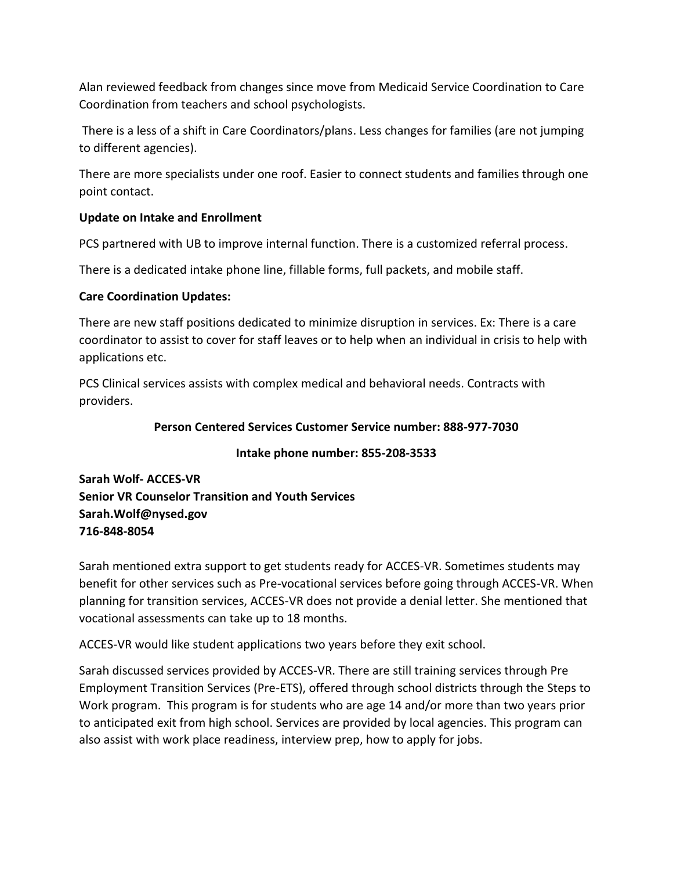Alan reviewed feedback from changes since move from Medicaid Service Coordination to Care Coordination from teachers and school psychologists.

There is a less of a shift in Care Coordinators/plans. Less changes for families (are not jumping to different agencies).

There are more specialists under one roof. Easier to connect students and families through one point contact.

## **Update on Intake and Enrollment**

PCS partnered with UB to improve internal function. There is a customized referral process.

There is a dedicated intake phone line, fillable forms, full packets, and mobile staff.

### **Care Coordination Updates:**

There are new staff positions dedicated to minimize disruption in services. Ex: There is a care coordinator to assist to cover for staff leaves or to help when an individual in crisis to help with applications etc.

PCS Clinical services assists with complex medical and behavioral needs. Contracts with providers.

## **Person Centered Services Customer Service number: 888-977-7030**

### **Intake phone number: 855-208-3533**

**Sarah Wolf- ACCES-VR Senior VR Counselor Transition and Youth Services Sarah.Wolf@nysed.gov 716-848-8054**

Sarah mentioned extra support to get students ready for ACCES-VR. Sometimes students may benefit for other services such as Pre-vocational services before going through ACCES-VR. When planning for transition services, ACCES-VR does not provide a denial letter. She mentioned that vocational assessments can take up to 18 months.

ACCES-VR would like student applications two years before they exit school.

Sarah discussed services provided by ACCES-VR. There are still training services through Pre Employment Transition Services (Pre-ETS), offered through school districts through the Steps to Work program. This program is for students who are age 14 and/or more than two years prior to anticipated exit from high school. Services are provided by local agencies. This program can also assist with work place readiness, interview prep, how to apply for jobs.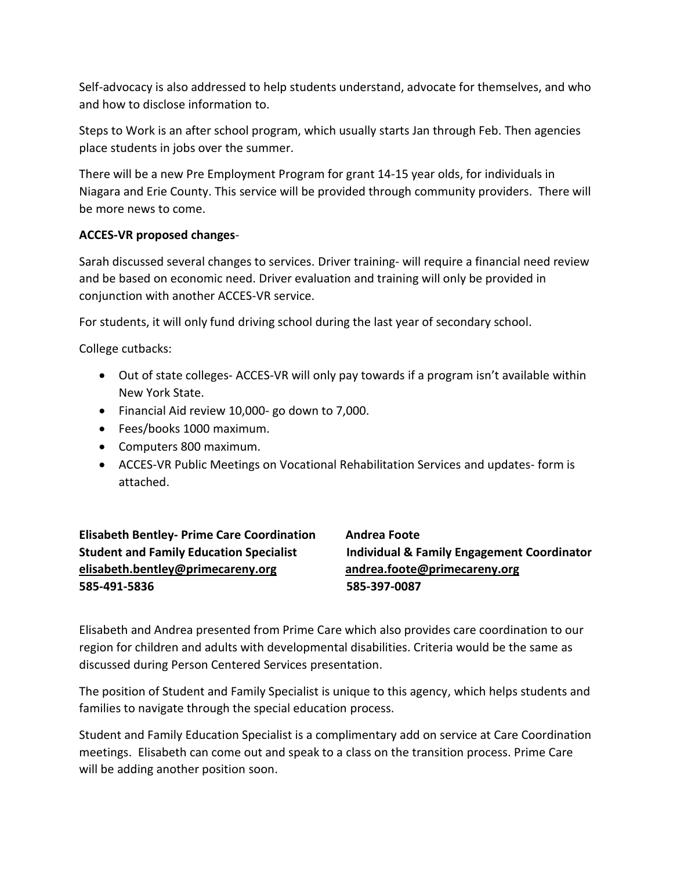Self-advocacy is also addressed to help students understand, advocate for themselves, and who and how to disclose information to.

Steps to Work is an after school program, which usually starts Jan through Feb. Then agencies place students in jobs over the summer.

There will be a new Pre Employment Program for grant 14-15 year olds, for individuals in Niagara and Erie County. This service will be provided through community providers. There will be more news to come.

## **ACCES-VR proposed changes**-

Sarah discussed several changes to services. Driver training- will require a financial need review and be based on economic need. Driver evaluation and training will only be provided in conjunction with another ACCES-VR service.

For students, it will only fund driving school during the last year of secondary school.

College cutbacks:

- Out of state colleges- ACCES-VR will only pay towards if a program isn't available within New York State.
- Financial Aid review 10,000- go down to 7,000.
- Fees/books 1000 maximum.
- Computers 800 maximum.
- ACCES-VR Public Meetings on Vocational Rehabilitation Services and updates- form is attached.

**Elisabeth Bentley- Prime Care Coordination Andrea Foote [elisabeth.bentley@primecareny.org](mailto:elisabeth.bentley@primecareny.org) andrea.foote@primecareny.org 585-491-5836 585-397-0087**

**Student and Family Education Specialist Individual & Family Engagement Coordinator**

Elisabeth and Andrea presented from Prime Care which also provides care coordination to our region for children and adults with developmental disabilities. Criteria would be the same as discussed during Person Centered Services presentation.

The position of Student and Family Specialist is unique to this agency, which helps students and families to navigate through the special education process.

Student and Family Education Specialist is a complimentary add on service at Care Coordination meetings. Elisabeth can come out and speak to a class on the transition process. Prime Care will be adding another position soon.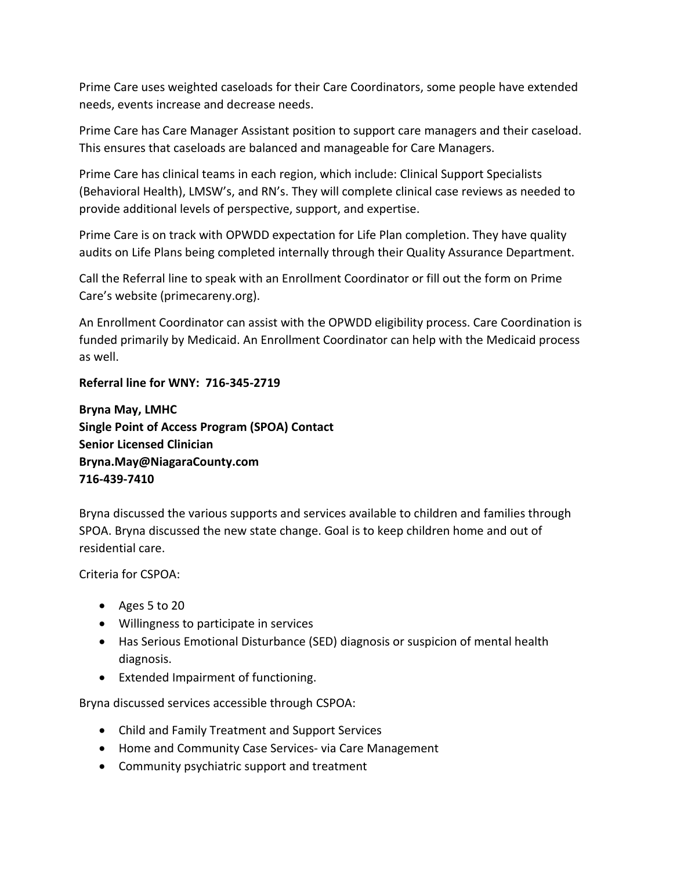Prime Care uses weighted caseloads for their Care Coordinators, some people have extended needs, events increase and decrease needs.

Prime Care has Care Manager Assistant position to support care managers and their caseload. This ensures that caseloads are balanced and manageable for Care Managers.

Prime Care has clinical teams in each region, which include: Clinical Support Specialists (Behavioral Health), LMSW's, and RN's. They will complete clinical case reviews as needed to provide additional levels of perspective, support, and expertise.

Prime Care is on track with OPWDD expectation for Life Plan completion. They have quality audits on Life Plans being completed internally through their Quality Assurance Department.

Call the Referral line to speak with an Enrollment Coordinator or fill out the form on Prime Care's website (primecareny.org).

An Enrollment Coordinator can assist with the OPWDD eligibility process. Care Coordination is funded primarily by Medicaid. An Enrollment Coordinator can help with the Medicaid process as well.

## **Referral line for WNY: 716-345-2719**

**Bryna May, LMHC Single Point of Access Program (SPOA) Contact Senior Licensed Clinician Bryna.May@NiagaraCounty.com 716-439-7410**

Bryna discussed the various supports and services available to children and families through SPOA. Bryna discussed the new state change. Goal is to keep children home and out of residential care.

Criteria for CSPOA:

- Ages 5 to 20
- Willingness to participate in services
- Has Serious Emotional Disturbance (SED) diagnosis or suspicion of mental health diagnosis.
- Extended Impairment of functioning.

Bryna discussed services accessible through CSPOA:

- Child and Family Treatment and Support Services
- Home and Community Case Services- via Care Management
- Community psychiatric support and treatment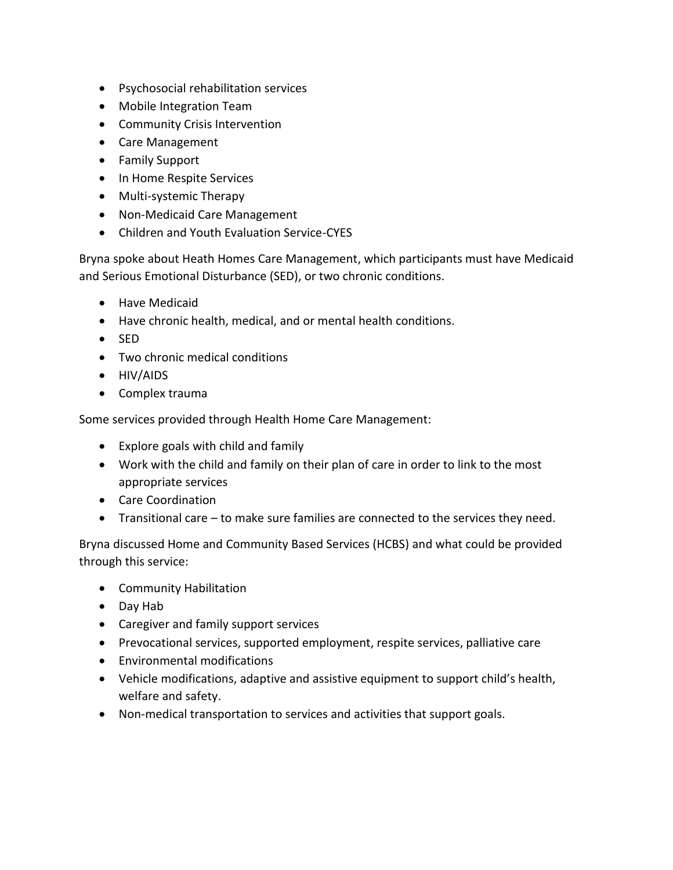- Psychosocial rehabilitation services
- Mobile Integration Team
- Community Crisis Intervention
- Care Management
- Family Support
- In Home Respite Services
- Multi-systemic Therapy
- Non-Medicaid Care Management
- Children and Youth Evaluation Service-CYES

Bryna spoke about Heath Homes Care Management, which participants must have Medicaid and Serious Emotional Disturbance (SED), or two chronic conditions.

- Have Medicaid
- Have chronic health, medical, and or mental health conditions.
- SED
- Two chronic medical conditions
- HIV/AIDS
- Complex trauma

Some services provided through Health Home Care Management:

- Explore goals with child and family
- Work with the child and family on their plan of care in order to link to the most appropriate services
- Care Coordination
- Transitional care to make sure families are connected to the services they need.

Bryna discussed Home and Community Based Services (HCBS) and what could be provided through this service:

- Community Habilitation
- Day Hab
- Caregiver and family support services
- Prevocational services, supported employment, respite services, palliative care
- Environmental modifications
- Vehicle modifications, adaptive and assistive equipment to support child's health, welfare and safety.
- Non-medical transportation to services and activities that support goals.